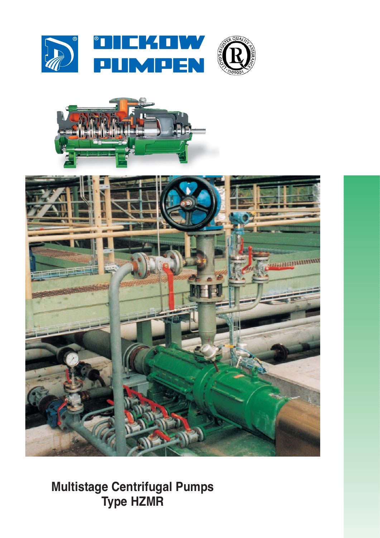







**Multistage Centrifugal Pumps Type HZMR**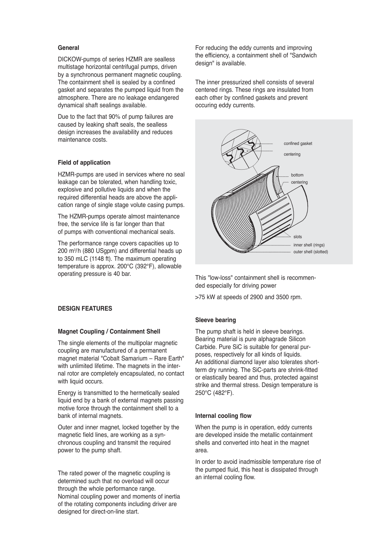# **General**

DICKOW-pumps of series HZMR are sealless multistage horizontal centrifugal pumps, driven by a synchronous permanent magnetic coupling. The containment shell is sealed by a confined gasket and separates the pumped liquid from the atmosphere. There are no leakage endangered dynamical shaft sealings available.

Due to the fact that 90% of pump failures are caused by leaking shaft seals, the sealless design increases the availability and reduces maintenance costs.

## **Field of application**

HZMR-pumps are used in services where no seal leakage can be tolerated, when handling toxic, explosive and pollutive liquids and when the required differential heads are above the application range of single stage volute casing pumps.

The HZMR-pumps operate almost maintenance free, the service life is far longer than that of pumps with conventional mechanical seals.

The performance range covers capacities up to 200 m3 /h (880 USgpm) and differential heads up to 350 mLC (1148 ft). The maximum operating temperature is approx. 200°C (392°F), allowable operating pressure is 40 bar.

## **DESIGN FEATURES**

## **Magnet Coupling / Containment Shell**

The single elements of the multipolar magnetic coupling are manufactured of a permanent magnet material "Cobalt Samarium – Rare Earth" with unlimited lifetime. The magnets in the internal rotor are completely encapsulated, no contact with liquid occurs.

Energy is transmitted to the hermetically sealed liquid end by a bank of external magnets passing motive force through the containment shell to a bank of internal magnets.

Outer and inner magnet, locked together by the magnetic field lines, are working as a synchronous coupling and transmit the required power to the pump shaft.

The rated power of the magnetic coupling is determined such that no overload will occur through the whole performance range. Nominal coupling power and moments of inertia of the rotating components including driver are designed for direct-on-line start.

For reducing the eddy currents and improving the efficiency, a containment shell of "Sandwich design" is available.

The inner pressurized shell consists of several centered rings. These rings are insulated from each other by confined gaskets and prevent occuring eddy currents.



This "low-loss" containment shell is recommended especially for driving power

>75 kW at speeds of 2900 and 3500 rpm.

## **Sleeve bearing**

The pump shaft is held in sleeve bearings. Bearing material is pure alphagrade Silicon Carbide. Pure SiC is suitable for general purposes, respectively for all kinds of liquids. An additional diamond layer also tolerates shortterm dry running. The SiC-parts are shrink-fitted or elastically beared and thus, protected against strike and thermal stress. Design temperature is 250°C (482°F).

## **Internal cooling flow**

When the pump is in operation, eddy currents are developed inside the metallic containment shells and converted into heat in the magnet area.

In order to avoid inadmissible temperature rise of the pumped fluid, this heat is dissipated through an internal cooling flow.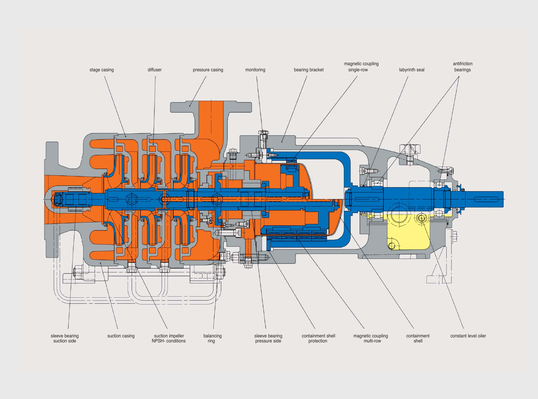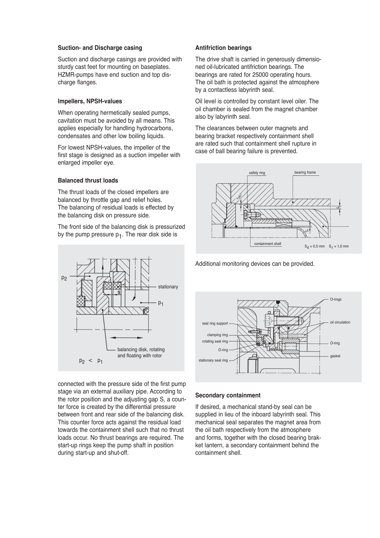#### **Suction- and Discharge casing**

Suction and discharge casings are provided with sturdy cast feet for mounting on baseplates. HZMR-pumps have end suction and top discharge flanges.

## **Impellers, NPSH-values**

When operating hermetically sealed pumps, cavitation must be avoided by all means. This applies especially for handling hydrocarbons, condensates and other low boiling liquids.

For lowest NPSH-values, the impeller of the first stage is designed as a suction impeller with enlarged impeller eye.

## **Balanced thrust loads**

The thrust loads of the closed impellers are balanced by throttle gap and relief holes. The balancing of residual loads is effected by the balancing disk on pressure side.

The front side of the balancing disk is pressurized by the pump pressure  $p_1$ . The rear disk side is



connected with the pressure side of the first pump stage via an external auxiliary pipe. According to the rotor position and the adjusting gap S, a counter force is created by the differential pressure between front and rear side of the balancing disk. This counter force acts against the residual load towards the containment shell such that no thrust loads occur. No thrust bearings are required. The start-up rings keep the pump shaft in position during start-up and shut-off.

# **Antifriction bearings**

The drive shaft is carried in generously dimensioned oil-lubricated antifriction bearings. The bearings are rated for 25000 operating hours. The oil bath is protected against the atmosphere by a contactless labyrinth seal.

Oil level is controlled by constant level oiler. The oil chamber is sealed from the magnet chamber also by labyrinth seal.

The clearances between outer magnets and bearing bracket respectively containment shell are rated such that containment shell rupture in case of ball bearing failure is prevented.



Additional monitoring devices can be provided.



## **Secondary containment**

If desired, a mechanical stand-by seal can be supplied in lieu of the inboard labyrinth seal. This mechanical seal separates the magnet area from the oil bath respectively from the atmosphere and forms, together with the closed bearing brakket lantern, a secondary containment behind the containment shell.